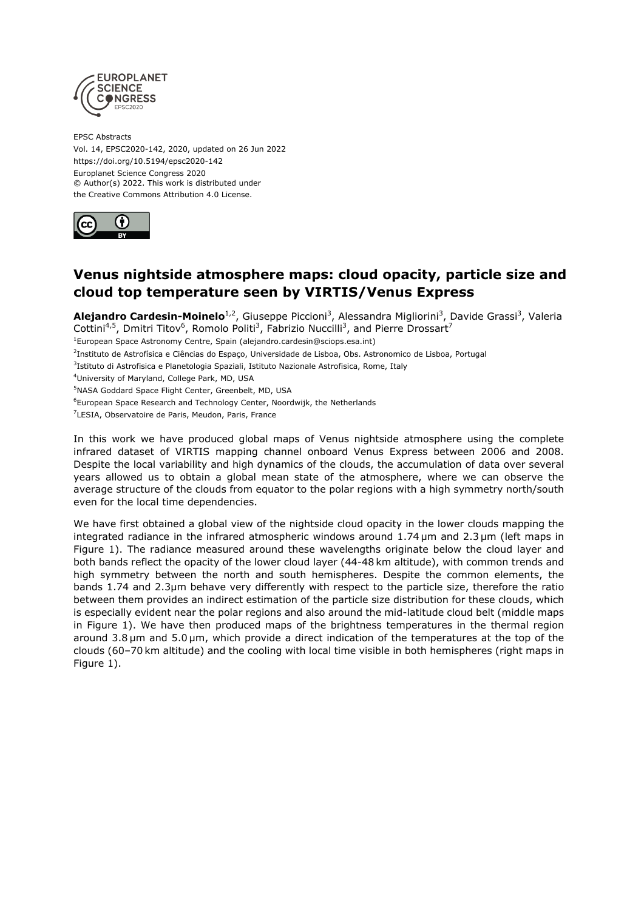

EPSC Abstracts Vol. 14, EPSC2020-142, 2020, updated on 26 Jun 2022 https://doi.org/10.5194/epsc2020-142 Europlanet Science Congress 2020 © Author(s) 2022. This work is distributed under the Creative Commons Attribution 4.0 License.



## **Venus nightside atmosphere maps: cloud opacity, particle size and cloud top temperature seen by VIRTIS/Venus Express**

**Alejandro Cardesin-Moinelo**<sup>1,2</sup>, Giuseppe Piccioni<sup>3</sup>, Alessandra Migliorini<sup>3</sup>, Davide Grassi<sup>3</sup>, Valeria Cottini<sup>4,5</sup>, Dmitri Titov<sup>6</sup>, Romolo Politi<sup>3</sup>, Fabrizio Nuccilli<sup>3</sup>, and Pierre Drossart<sup>7</sup>

<sup>1</sup>European Space Astronomy Centre, Spain (alejandro.cardesin@sciops.esa.int)

<sup>2</sup>Instituto de Astrofísica e Ciências do Espaço, Universidade de Lisboa, Obs. Astronomico de Lisboa, Portugal

<sup>3</sup>Istituto di Astrofisica e Planetologia Spaziali, Istituto Nazionale Astrofisica, Rome, Italy

<sup>4</sup>University of Maryland, College Park, MD, USA

<sup>6</sup>European Space Research and Technology Center, Noordwijk, the Netherlands

<sup>7</sup>LESIA, Observatoire de Paris, Meudon, Paris, France

In this work we have produced global maps of Venus nightside atmosphere using the complete infrared dataset of VIRTIS mapping channel onboard Venus Express between 2006 and 2008. Despite the local variability and high dynamics of the clouds, the accumulation of data over several years allowed us to obtain a global mean state of the atmosphere, where we can observe the average structure of the clouds from equator to the polar regions with a high symmetry north/south even for the local time dependencies.

We have first obtained a global view of the nightside cloud opacity in the lower clouds mapping the integrated radiance in the infrared atmospheric windows around 1.74 μm and 2.3 μm (left maps in Figure 1). The radiance measured around these wavelengths originate below the cloud layer and both bands reflect the opacity of the lower cloud layer (44-48 km altitude), with common trends and high symmetry between the north and south hemispheres. Despite the common elements, the bands 1.74 and 2.3μm behave very differently with respect to the particle size, therefore the ratio between them provides an indirect estimation of the particle size distribution for these clouds, which is especially evident near the polar regions and also around the mid-latitude cloud belt (middle maps in Figure 1). We have then produced maps of the brightness temperatures in the thermal region around 3.8 μm and 5.0 μm, which provide a direct indication of the temperatures at the top of the clouds (60–70 km altitude) and the cooling with local time visible in both hemispheres (right maps in Figure 1).

<sup>5</sup>NASA Goddard Space Flight Center, Greenbelt, MD, USA